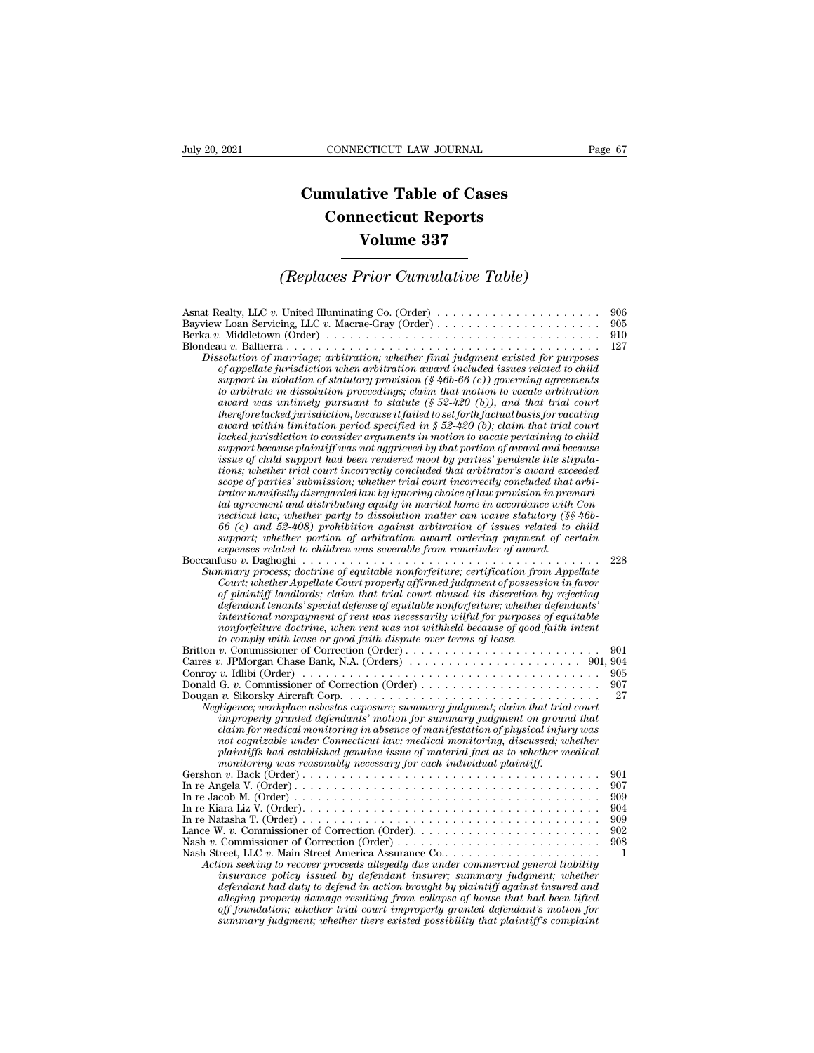## **CONNECTICUT LAW JOURNAL**<br> **Cumulative Table of Cases<br>
Connecticut Reports CONNECTICUT LAW JOURNAL**<br> **CONNECTICUT LAW JOURNAL**<br> **CONNECTICUT Reports<br>
Volume 337 ECTICUT LAW JOURNAL**<br> **Volume 337**<br> **Volume 337**<br> **Volume 337**<br> **Prior Cumulative Table)** *CONNECTICUT LAW JOURNAL* Page 67<br> **Cumulative Table of Cases<br>** *Connecticut Reports***<br>** *Volume 337***<br>** *(Replaces Prior Cumulative Table)*

| <b>Volume 337</b>                                                                                                                                                                                                                                                                                                                                                                                                                                                                                                                                                                                                                                                                                                                                                                                                                                                                                                                                                                                                                                                                                                                                                                                                                                                                                                                                                                                                                                                                                                                                                                                                                                                                                                                                                                                      |                                                    |  |
|--------------------------------------------------------------------------------------------------------------------------------------------------------------------------------------------------------------------------------------------------------------------------------------------------------------------------------------------------------------------------------------------------------------------------------------------------------------------------------------------------------------------------------------------------------------------------------------------------------------------------------------------------------------------------------------------------------------------------------------------------------------------------------------------------------------------------------------------------------------------------------------------------------------------------------------------------------------------------------------------------------------------------------------------------------------------------------------------------------------------------------------------------------------------------------------------------------------------------------------------------------------------------------------------------------------------------------------------------------------------------------------------------------------------------------------------------------------------------------------------------------------------------------------------------------------------------------------------------------------------------------------------------------------------------------------------------------------------------------------------------------------------------------------------------------|----------------------------------------------------|--|
| (Replaces Prior Cumulative Table)                                                                                                                                                                                                                                                                                                                                                                                                                                                                                                                                                                                                                                                                                                                                                                                                                                                                                                                                                                                                                                                                                                                                                                                                                                                                                                                                                                                                                                                                                                                                                                                                                                                                                                                                                                      |                                                    |  |
| Asnat Realty, LLC v. United Illuminating Co. (Order) $\ldots \ldots \ldots \ldots \ldots \ldots \ldots$<br>Berka v. Middletown (Order) $\ldots \ldots \ldots \ldots \ldots \ldots \ldots \ldots \ldots \ldots \ldots \ldots$<br>Dissolution of marriage; arbitration; whether final judgment existed for purposes<br>of appellate jurisdiction when arbitration award included issues related to child<br>support in violation of statutory provision $(\frac{1}{2}46b-66(c))$ governing agreements<br>to arbitrate in dissolution proceedings; claim that motion to vacate arbitration<br>award was untimely pursuant to statute (§ 52-420 (b)), and that trial court<br>therefore lacked jurisdiction, because it failed to set forth factual basis for vacating<br>award within limitation period specified in § 52-420 (b); claim that trial court<br>lacked jurisdiction to consider arguments in motion to vacate pertaining to child<br>support because plaintiff was not aggrieved by that portion of award and because<br>issue of child support had been rendered moot by parties' pendente lite stipula-<br>tions; whether trial court incorrectly concluded that arbitrator's award exceeded<br>scope of parties' submission; whether trial court incorrectly concluded that arbi-<br>trator manifestly disregarded law by ignoring choice of law provision in premari-<br>tal agreement and distributing equity in marital home in accordance with Con-<br>necticut law; whether party to dissolution matter can waive statutory $(\S \S 46b -$<br>$66$ (c) and $52-408$ ) prohibition against arbitration of issues related to child<br>support; whether portion of arbitration award ordering payment of certain<br>expenses related to children was severable from remainder of award. | 906<br>905<br>910<br>127                           |  |
| Summary process; doctrine of equitable nonforfeiture; certification from Appellate<br>Court; whether Appellate Court properly affirmed judgment of possession in favor<br>of plaintiff landlords; claim that trial court abused its discretion by rejecting<br>defendant tenants' special defense of equitable nonforfeiture; whether defendants'<br>intentional nonpayment of rent was necessarily wilful for purposes of equitable<br>nonforfeiture doctrine, when rent was not withheld because of good faith intent<br>to comply with lease or good faith dispute over terms of lease.                                                                                                                                                                                                                                                                                                                                                                                                                                                                                                                                                                                                                                                                                                                                                                                                                                                                                                                                                                                                                                                                                                                                                                                                             | 228                                                |  |
| Conroy v. Idlibi (Order) $\dots \dots \dots \dots \dots \dots \dots \dots \dots \dots \dots \dots \dots \dots \dots \dots$<br>Negligence; workplace asbestos exposure; summary judgment; claim that trial court<br>improperly granted defendants' motion for summary judgment on ground that<br>claim for medical monitoring in absence of manifestation of physical injury was<br>not cognizable under Connecticut law; medical monitoring, discussed; whether<br>plaintiffs had established genuine issue of material fact as to whether medical<br>monitoring was reasonably necessary for each individual plaintiff.                                                                                                                                                                                                                                                                                                                                                                                                                                                                                                                                                                                                                                                                                                                                                                                                                                                                                                                                                                                                                                                                                                                                                                               | 901<br>905<br>907<br>27                            |  |
| In re Kiara Liz V. (Order). $\dots \dots \dots \dots \dots \dots \dots \dots \dots \dots \dots \dots \dots \dots \dots \dots$<br>Nash Street, LLC v. Main Street America Assurance Co<br>Action seeking to recover proceeds allegedly due under commercial general liability<br><i>insurance policy issued by defendant insurer; summary judgment; whether</i><br>defendant had duty to defend in action brought by plaintiff against insured and<br>alleging property damage resulting from collapse of house that had been lifted<br>off foundation; whether trial court improperly granted defendant's motion for<br>summary judgment; whether there existed possibility that plaintiff's complaint                                                                                                                                                                                                                                                                                                                                                                                                                                                                                                                                                                                                                                                                                                                                                                                                                                                                                                                                                                                                                                                                                                 | 901<br>907<br>909<br>904<br>909<br>902<br>908<br>1 |  |